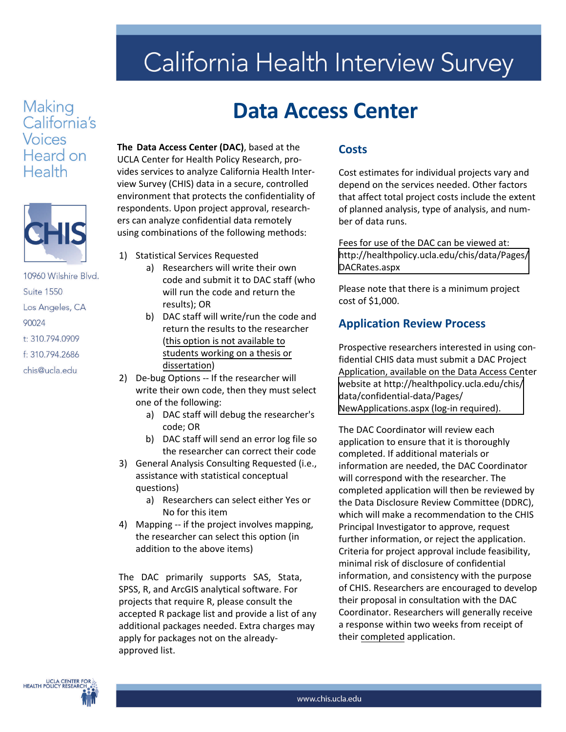# California Health Interview Survey

### Making California's **Voices** Heard on Health



10960 Wilshire Blvd. **Suite 1550** Los Angeles, CA 90024 t: 310.794.0909 f: 310.794.2686 chis@ucla.edu

## **Data Access Center**

**The Data Access Center (DAC)**, based at the UCLA Center for Health Policy Research, pro‐ vides services to analyze California Health Inter‐ view Survey (CHIS) data in a secure, controlled environment that protects the confidentiality of respondents. Upon project approval, research‐ ers can analyze confidential data remotely using combinations of the following methods:

- 1) Statistical Services Requested
	- a) Researchers will write their own code and submit it to DAC staff (who will run the code and return the results); OR
	- b) DAC staff will write/run the code and return the results to the researcher (this option is not available to students working on a thesis or dissertation)
- 2) De-bug Options -- If the researcher will write their own code, then they must select one of the following:
	- a) DAC staff will debug the researcher's code; OR
	- b) DAC staff will send an error log file so the researcher can correct their code
- 3) General Analysis Consulting Requested (i.e., assistance with statistical conceptual questions)
	- a) Researchers can select either Yes or No for this item
- 4) [Mapping -- if the project involves](http://healthpolicy.ucla.edu/chis/data/Pages/DACRates.aspx) mapping, the researcher can select this option (in addition to the above items)

The DAC primarily supports SAS, Stata, SPSS, R, and ArcGIS analytical software. For projects that require R, please consult the accepted R package list and provide a list of any additional packages needed. Extra charges may [apply for packages not on the already](http://healthpolicy.ucla.edu/chis/data/confidential-data/Pages/data-access-center.aspx)approved list.

#### **Costs**

Cost estimates for individual projects vary and depend on the services needed. Other factors that affect total [project costs include the e](http://www.chis.ucla.edu/main/default.asp?page=dac.)xtent of planned analysis, type of analysis, and number of data runs.

Fees for use of the DAC can be viewed at: [http://healthpolicy.ucla.edu/chis/data/Pages/](http://healthpolicy.ucla.edu/chis/data/Pages/DACRates.aspx) DACRates.aspx

Please note that there is a minimum project cost of \$1,000.

#### **Application Review Process**

Prospective researchers interested in using confidential CHIS data must submit a DAC Project Application, available on the Data Access Center [website at http://healthpolicy.ucla.edu/chis/](http://healthpolicy.ucla.edu/chis/data/confidential-data/Pages/NewApplications.aspx) data/confidential-data/Pages/ NewApplications.aspx (log-in required).

The DAC Coordinator will review each application to ensure that it is thoroughly completed. If additional materials or information are needed, the DAC Coordinator will correspond with the [researcher](http://www.chis.ucla.edu/main/default.asp?page=dac.). The completed application will then be reviewed by the Data Disclosure Review Committee (DDRC), which will make a recommendation to the CHIS Principal Investigator to approve, request further information, or reject the application. Criteria for project approval include feasibility, minimal risk of disclosure of confidential information, and consistency with the purpose of CHIS. Researchers are encouraged to develop their proposal in consultation with the DAC Coordinator. Researchers will generally receive a response within two weeks from receipt of their completed application.